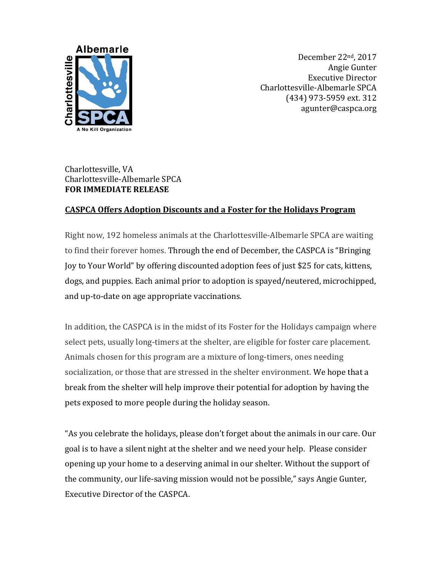

December 22nd, 2017 Angie Gunter Executive Director Charlottesville-Albemarle SPCA (434) 973-5959 ext. 312 agunter@caspca.org

## Charlottesville, VA Charlottesville-Albemarle SPCA **FOR IMMEDIATE RELEASE**

## **CASPCA Offers Adoption Discounts and a Foster for the Holidays Program**

Right now, 192 homeless animals at the Charlottesville-Albemarle SPCA are waiting to find their forever homes. Through the end of December, the CASPCA is "Bringing Joy to Your World" by offering discounted adoption fees of just \$25 for cats, kittens, dogs, and puppies. Each animal prior to adoption is spayed/neutered, microchipped, and up-to-date on age appropriate vaccinations.

In addition, the CASPCA is in the midst of its Foster for the Holidays campaign where select pets, usually long-timers at the shelter, are eligible for foster care placement. Animals chosen for this program are a mixture of long-timers, ones needing socialization, or those that are stressed in the shelter environment. We hope that a break from the shelter will help improve their potential for adoption by having the pets exposed to more people during the holiday season.

"As you celebrate the holidays, please don't forget about the animals in our care. Our goal is to have a silent night at the shelter and we need your help. Please consider opening up your home to a deserving animal in our shelter. Without the support of the community, our life-saving mission would not be possible," says Angie Gunter, Executive Director of the CASPCA.